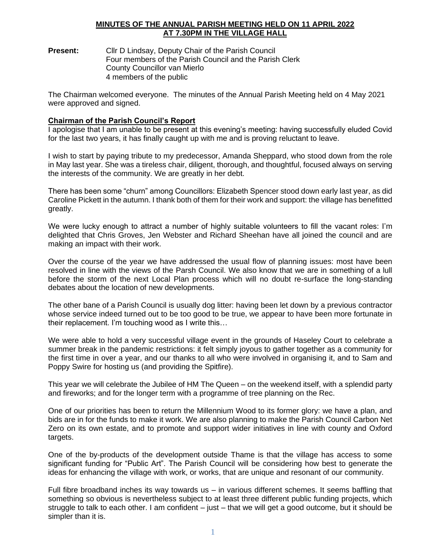## **MINUTES OF THE ANNUAL PARISH MEETING HELD ON 11 APRIL 2022 AT 7.30PM IN THE VILLAGE HALL**

**Present:** Cllr D Lindsay, Deputy Chair of the Parish Council Four members of the Parish Council and the Parish Clerk County Councillor van Mierlo 4 members of the public

The Chairman welcomed everyone. The minutes of the Annual Parish Meeting held on 4 May 2021 were approved and signed.

## **Chairman of the Parish Council's Report**

I apologise that I am unable to be present at this evening's meeting: having successfully eluded Covid for the last two years, it has finally caught up with me and is proving reluctant to leave.

I wish to start by paying tribute to my predecessor, Amanda Sheppard, who stood down from the role in May last year. She was a tireless chair, diligent, thorough, and thoughtful, focused always on serving the interests of the community. We are greatly in her debt.

There has been some "churn" among Councillors: Elizabeth Spencer stood down early last year, as did Caroline Pickett in the autumn. I thank both of them for their work and support: the village has benefitted greatly.

We were lucky enough to attract a number of highly suitable volunteers to fill the vacant roles: I'm delighted that Chris Groves, Jen Webster and Richard Sheehan have all joined the council and are making an impact with their work.

Over the course of the year we have addressed the usual flow of planning issues: most have been resolved in line with the views of the Parsh Council. We also know that we are in something of a lull before the storm of the next Local Plan process which will no doubt re-surface the long-standing debates about the location of new developments.

The other bane of a Parish Council is usually dog litter: having been let down by a previous contractor whose service indeed turned out to be too good to be true, we appear to have been more fortunate in their replacement. I'm touching wood as I write this…

We were able to hold a very successful village event in the grounds of Haseley Court to celebrate a summer break in the pandemic restrictions: it felt simply joyous to gather together as a community for the first time in over a year, and our thanks to all who were involved in organising it, and to Sam and Poppy Swire for hosting us (and providing the Spitfire).

This year we will celebrate the Jubilee of HM The Queen – on the weekend itself, with a splendid party and fireworks; and for the longer term with a programme of tree planning on the Rec.

One of our priorities has been to return the Millennium Wood to its former glory: we have a plan, and bids are in for the funds to make it work. We are also planning to make the Parish Council Carbon Net Zero on its own estate, and to promote and support wider initiatives in line with county and Oxford targets.

One of the by-products of the development outside Thame is that the village has access to some significant funding for "Public Art". The Parish Council will be considering how best to generate the ideas for enhancing the village with work, or works, that are unique and resonant of our community.

Full fibre broadband inches its way towards us – in various different schemes. It seems baffling that something so obvious is nevertheless subject to at least three different public funding projects, which struggle to talk to each other. I am confident – just – that we will get a good outcome, but it should be simpler than it is.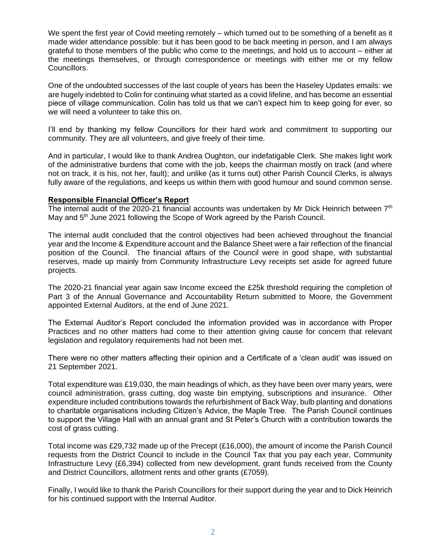We spent the first year of Covid meeting remotely – which turned out to be something of a benefit as it made wider attendance possible: but it has been good to be back meeting in person, and I am always grateful to those members of the public who come to the meetings, and hold us to account – either at the meetings themselves, or through correspondence or meetings with either me or my fellow Councillors.

One of the undoubted successes of the last couple of years has been the Haseley Updates emails: we are hugely indebted to Colin for continuing what started as a covid lifeline, and has become an essential piece of village communication. Colin has told us that we can't expect him to keep going for ever, so we will need a volunteer to take this on.

I'll end by thanking my fellow Councillors for their hard work and commitment to supporting our community. They are all volunteers, and give freely of their time.

And in particular, I would like to thank Andrea Oughton, our indefatigable Clerk. She makes light work of the administrative burdens that come with the job, keeps the chairman mostly on track (and where not on track, it is his, not her, fault); and unlike (as it turns out) other Parish Council Clerks, is always fully aware of the regulations, and keeps us within them with good humour and sound common sense.

#### **Responsible Financial Officer's Report**

The internal audit of the 2020-21 financial accounts was undertaken by Mr Dick Heinrich between  $7<sup>th</sup>$ May and 5<sup>th</sup> June 2021 following the Scope of Work agreed by the Parish Council.

The internal audit concluded that the control objectives had been achieved throughout the financial year and the Income & Expenditure account and the Balance Sheet were a fair reflection of the financial position of the Council. The financial affairs of the Council were in good shape, with substantial reserves, made up mainly from Community Infrastructure Levy receipts set aside for agreed future projects.

The 2020-21 financial year again saw Income exceed the £25k threshold requiring the completion of Part 3 of the Annual Governance and Accountability Return submitted to Moore, the Government appointed External Auditors, at the end of June 2021.

The External Auditor's Report concluded the information provided was in accordance with Proper Practices and no other matters had come to their attention giving cause for concern that relevant legislation and regulatory requirements had not been met.

There were no other matters affecting their opinion and a Certificate of a 'clean audit' was issued on 21 September 2021.

Total expenditure was £19,030, the main headings of which, as they have been over many years, were council administration, grass cutting, dog waste bin emptying, subscriptions and insurance. Other expenditure included contributions towards the refurbishment of Back Way, bulb planting and donations to charitable organisations including Citizen's Advice, the Maple Tree. The Parish Council continues to support the Village Hall with an annual grant and St Peter's Church with a contribution towards the cost of grass cutting.

Total income was £29,732 made up of the Precept (£16,000), the amount of income the Parish Council requests from the District Council to include in the Council Tax that you pay each year, Community Infrastructure Levy (£6,394) collected from new development, grant funds received from the County and District Councillors, allotment rents and other grants (£7059).

Finally, I would like to thank the Parish Councillors for their support during the year and to Dick Heinrich for his continued support with the Internal Auditor.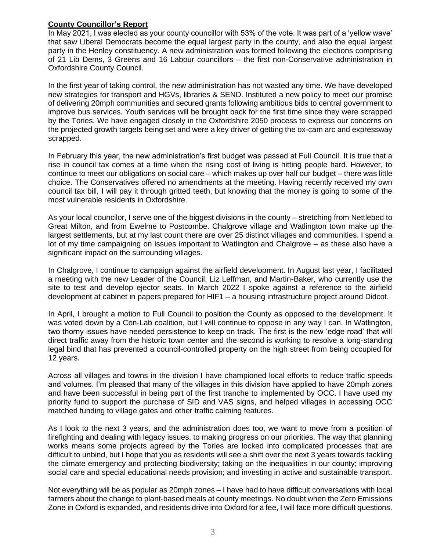# **County Councillor's Report**

In May 2021, I was elected as your county councillor with 53% of the vote. It was part of a 'yellow wave' that saw Liberal Democrats become the equal largest party in the county, and also the equal largest party in the Henley constituency. A new administration was formed following the elections comprising of 21 Lib Dems, 3 Greens and 16 Labour councillors – the first non-Conservative administration in Oxfordshire County Council.

In the first year of taking control, the new administration has not wasted any time. We have developed new strategies for transport and HGVs, libraries & SEND. Instituted a new policy to meet our promise of delivering 20mph communities and secured grants following ambitious bids to central government to improve bus services. Youth services will be brought back for the first time since they were scrapped by the Tories. We have engaged closely in the Oxfordshire 2050 process to express our concerns on the projected growth targets being set and were a key driver of getting the ox-cam arc and expressway scrapped.

In February this year, the new administration's first budget was passed at Full Council. It is true that a rise in council tax comes at a time when the rising cost of living is hitting people hard. However, to continue to meet our obligations on social care – which makes up over half our budget – there was little choice. The Conservatives offered no amendments at the meeting. Having recently received my own council tax bill, I will pay it through gritted teeth, but knowing that the money is going to some of the most vulnerable residents in Oxfordshire.

As your local councilor, I serve one of the biggest divisions in the county – stretching from Nettlebed to Great Milton, and from Ewelme to Postcombe. Chalgrove village and Watlington town make up the largest settlements, but at my last count there are over 25 distinct villages and communities. I spend a lot of my time campaigning on issues important to Watlington and Chalgrove – as these also have a significant impact on the surrounding villages.

In Chalgrove, I continue to campaign against the airfield development. In August last year, I facilitated a meeting with the new Leader of the Council, Liz Leffman, and Martin-Baker, who currently use the site to test and develop ejector seats. In March 2022 I spoke against a reference to the airfield development at cabinet in papers prepared for HIF1 – a housing infrastructure project around Didcot.

In April, I brought a motion to Full Council to position the County as opposed to the development. It was voted down by a Con-Lab coalition, but I will continue to oppose in any way I can. In Watlington, two thorny issues have needed persistence to keep on track. The first is the new 'edge road' that will direct traffic away from the historic town center and the second is working to resolve a long-standing legal bind that has prevented a council-controlled property on the high street from being occupied for 12 years.

Across all villages and towns in the division I have championed local efforts to reduce traffic speeds and volumes. I'm pleased that many of the villages in this division have applied to have 20mph zones and have been successful in being part of the first tranche to implemented by OCC. I have used my priority fund to support the purchase of SID and VAS signs, and helped villages in accessing OCC matched funding to village gates and other traffic calming features.

As I look to the next 3 years, and the administration does too, we want to move from a position of firefighting and dealing with legacy issues, to making progress on our priorities. The way that planning works means some projects agreed by the Tories are locked into complicated processes that are difficult to unbind, but I hope that you as residents will see a shift over the next 3 years towards tackling the climate emergency and protecting biodiversity; taking on the inequalities in our county; improving social care and special educational needs provision; and investing in active and sustainable transport.

Not everything will be as popular as 20mph zones – I have had to have difficult conversations with local farmers about the change to plant-based meals at county meetings. No doubt when the Zero Emissions Zone in Oxford is expanded, and residents drive into Oxford for a fee, I will face more difficult questions.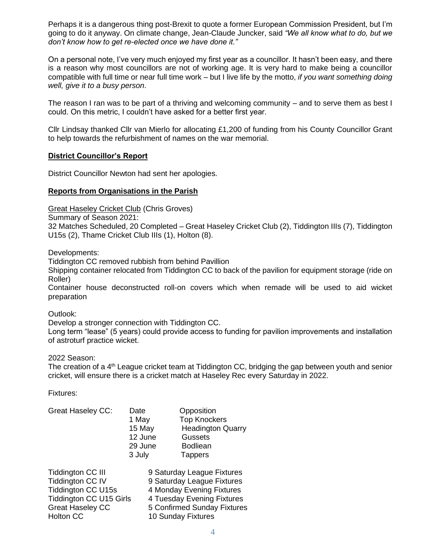Perhaps it is a dangerous thing post-Brexit to quote a former European Commission President, but I'm going to do it anyway. On climate change, Jean-Claude Juncker, said *"We all know what to do, but we don't know how to get re-elected once we have done it."* 

On a personal note, I've very much enjoyed my first year as a councillor. It hasn't been easy, and there is a reason why most councillors are not of working age. It is very hard to make being a councillor compatible with full time or near full time work – but I live life by the motto, *if you want something doing well, give it to a busy person*.

The reason I ran was to be part of a thriving and welcoming community – and to serve them as best I could. On this metric, I couldn't have asked for a better first year.

Cllr Lindsay thanked Cllr van Mierlo for allocating £1,200 of funding from his County Councillor Grant to help towards the refurbishment of names on the war memorial.

## **District Councillor's Report**

District Councillor Newton had sent her apologies.

## **Reports from Organisations in the Parish**

Great Haseley Cricket Club (Chris Groves)

Summary of Season 2021:

32 Matches Scheduled, 20 Completed – Great Haseley Cricket Club (2), Tiddington IIIs (7), Tiddington U15s (2), Thame Cricket Club IIIs (1), Holton (8).

Developments:

Tiddington CC removed rubbish from behind Pavillion

Shipping container relocated from Tiddington CC to back of the pavilion for equipment storage (ride on Roller)

Container house deconstructed roll-on covers which when remade will be used to aid wicket preparation

Outlook:

Develop a stronger connection with Tiddington CC.

Long term "lease" (5 years) could provide access to funding for pavilion improvements and installation of astroturf practice wicket.

2022 Season:

The creation of a 4<sup>th</sup> League cricket team at Tiddington CC, bridging the gap between youth and senior cricket, will ensure there is a cricket match at Haseley Rec every Saturday in 2022.

Fixtures:

| <b>Great Haseley CC:</b> | Date    | Opposition               |
|--------------------------|---------|--------------------------|
|                          | 1 May   | <b>Top Knockers</b>      |
|                          | 15 May  | <b>Headington Quarry</b> |
|                          | 12 June | <b>Gussets</b>           |
|                          | 29 June | <b>Bodliean</b>          |
|                          | 3 July  | <b>Tappers</b>           |
|                          |         |                          |

| <b>Tiddington CC III</b>       | 9 Saturday League Fixtures  |
|--------------------------------|-----------------------------|
| Tiddington CC IV               | 9 Saturday League Fixtures  |
| <b>Tiddington CC U15s</b>      | 4 Monday Evening Fixtures   |
| <b>Tiddington CC U15 Girls</b> | 4 Tuesday Evening Fixtures  |
| <b>Great Haseley CC</b>        | 5 Confirmed Sunday Fixtures |
| Holton CC                      | 10 Sunday Fixtures          |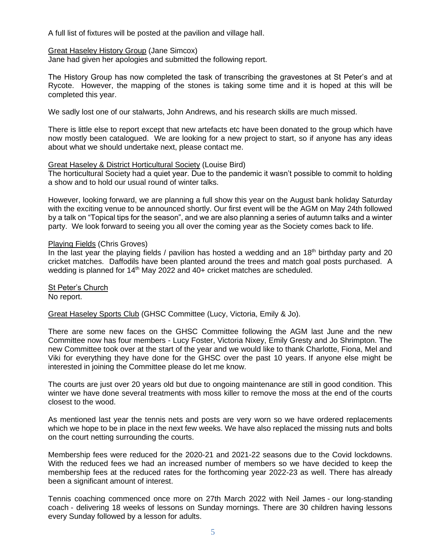A full list of fixtures will be posted at the pavilion and village hall.

#### Great Haseley History Group (Jane Simcox)

Jane had given her apologies and submitted the following report.

The History Group has now completed the task of transcribing the gravestones at St Peter's and at Rycote. However, the mapping of the stones is taking some time and it is hoped at this will be completed this year.

We sadly lost one of our stalwarts, John Andrews, and his research skills are much missed.

There is little else to report except that new artefacts etc have been donated to the group which have now mostly been catalogued. We are looking for a new project to start, so if anyone has any ideas about what we should undertake next, please contact me.

#### Great Haseley & District Horticultural Society (Louise Bird)

The horticultural Society had a quiet year. Due to the pandemic it wasn't possible to commit to holding a show and to hold our usual round of winter talks.

However, looking forward, we are planning a full show this year on the August bank holiday Saturday with the exciting venue to be announced shortly. Our first event will be the AGM on May 24th followed by a talk on "Topical tips for the season", and we are also planning a series of autumn talks and a winter party. We look forward to seeing you all over the coming year as the Society comes back to life.

## Playing Fields (Chris Groves)

In the last year the playing fields / pavilion has hosted a wedding and an  $18<sup>th</sup>$  birthday party and 20 cricket matches. Daffodils have been planted around the trees and match goal posts purchased. A wedding is planned for  $14<sup>th</sup>$  May 2022 and 40+ cricket matches are scheduled.

St Peter's Church No report.

Great Haseley Sports Club (GHSC Committee (Lucy, Victoria, Emily & Jo).

There are some new faces on the GHSC Committee following the AGM last June and the new Committee now has four members - Lucy Foster, Victoria Nixey, Emily Gresty and Jo Shrimpton. The new Committee took over at the start of the year and we would like to thank Charlotte, Fiona, Mel and Viki for everything they have done for the GHSC over the past 10 years. If anyone else might be interested in joining the Committee please do let me know.

The courts are just over 20 years old but due to ongoing maintenance are still in good condition. This winter we have done several treatments with moss killer to remove the moss at the end of the courts closest to the wood.

As mentioned last year the tennis nets and posts are very worn so we have ordered replacements which we hope to be in place in the next few weeks. We have also replaced the missing nuts and bolts on the court netting surrounding the courts.

Membership fees were reduced for the 2020-21 and 2021-22 seasons due to the Covid lockdowns. With the reduced fees we had an increased number of members so we have decided to keep the membership fees at the reduced rates for the forthcoming year 2022-23 as well. There has already been a significant amount of interest.

Tennis coaching commenced once more on 27th March 2022 with Neil James - our long-standing coach - delivering 18 weeks of lessons on Sunday mornings. There are 30 children having lessons every Sunday followed by a lesson for adults.